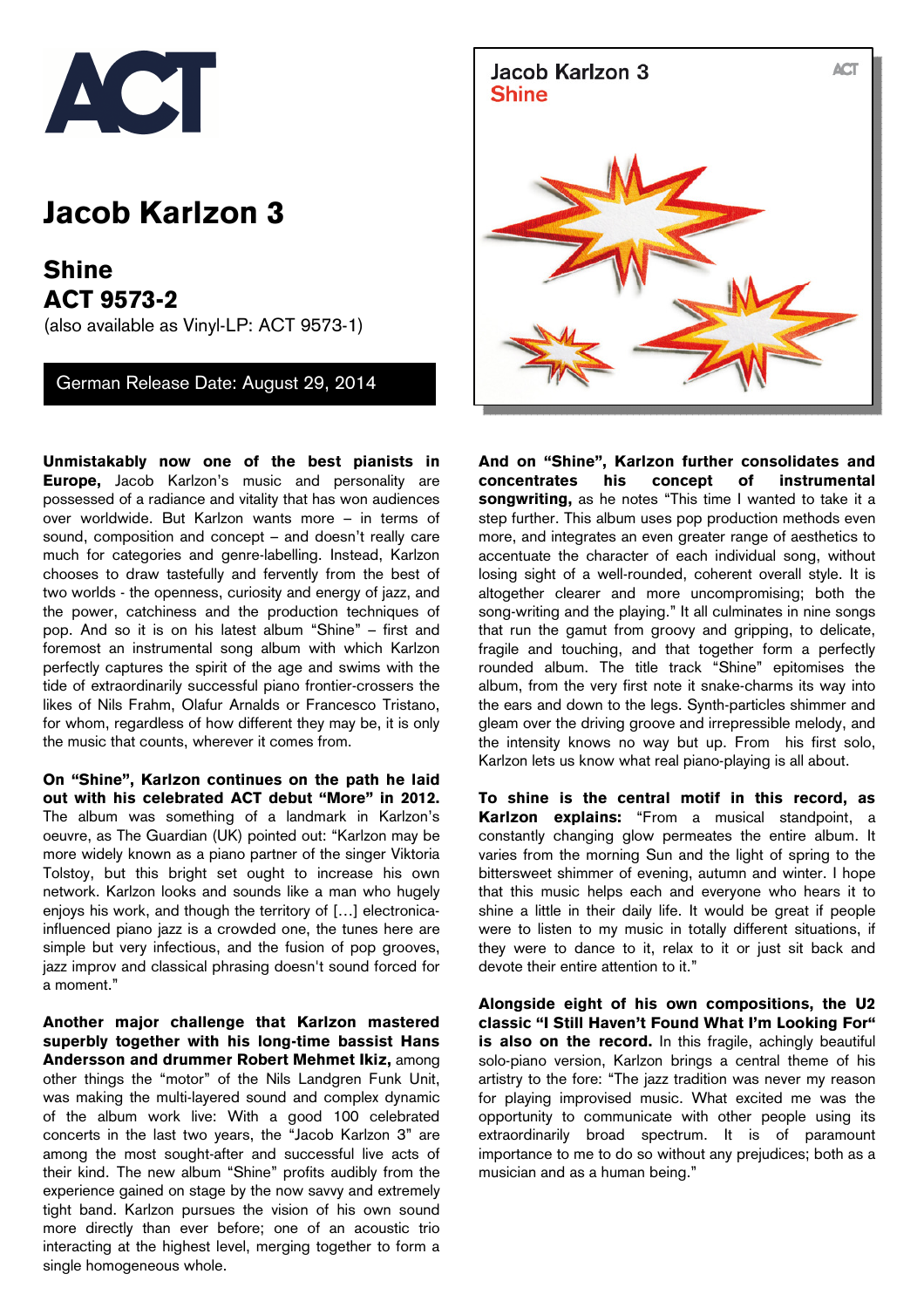

## **Jacob Karlzon 3**

**Shine ACT 9573-2**  (also available as Vinyl-LP: ACT 9573-1)

German Release Date: August 29, 2014

**Unmistakably now one of the best pianists in Europe,** Jacob Karlzon's music and personality are possessed of a radiance and vitality that has won audiences over worldwide. But Karlzon wants more – in terms of sound, composition and concept – and doesn't really care much for categories and genre-labelling. Instead, Karlzon chooses to draw tastefully and fervently from the best of two worlds - the openness, curiosity and energy of jazz, and the power, catchiness and the production techniques of pop. And so it is on his latest album "Shine" – first and foremost an instrumental song album with which Karlzon perfectly captures the spirit of the age and swims with the tide of extraordinarily successful piano frontier-crossers the likes of Nils Frahm, Olafur Arnalds or Francesco Tristano, for whom, regardless of how different they may be, it is only the music that counts, wherever it comes from.

**On "Shine", Karlzon continues on the path he laid out with his celebrated ACT debut "More" in 2012.** The album was something of a landmark in Karlzon's oeuvre, as The Guardian (UK) pointed out: "Karlzon may be more widely known as a piano partner of the singer Viktoria Tolstoy, but this bright set ought to increase his own network. Karlzon looks and sounds like a man who hugely enjoys his work, and though the territory of [...] electronicainfluenced piano jazz is a crowded one, the tunes here are simple but very infectious, and the fusion of pop grooves, jazz improv and classical phrasing doesn't sound forced for a moment."

**Another major challenge that Karlzon mastered superbly together with his long-time bassist Hans Andersson and drummer Robert Mehmet Ikiz,** among other things the "motor" of the Nils Landgren Funk Unit, was making the multi-layered sound and complex dynamic of the album work live: With a good 100 celebrated concerts in the last two years, the "Jacob Karlzon 3" are among the most sought-after and successful live acts of their kind. The new album "Shine" profits audibly from the experience gained on stage by the now savvy and extremely tight band. Karlzon pursues the vision of his own sound more directly than ever before; one of an acoustic trio interacting at the highest level, merging together to form a single homogeneous whole.



**And on "Shine", Karlzon further consolidates and concentrates his concept of instrumental songwriting,** as he notes "This time I wanted to take it a step further. This album uses pop production methods even more, and integrates an even greater range of aesthetics to accentuate the character of each individual song, without losing sight of a well-rounded, coherent overall style. It is altogether clearer and more uncompromising; both the song-writing and the playing." It all culminates in nine songs that run the gamut from groovy and gripping, to delicate, fragile and touching, and that together form a perfectly rounded album. The title track "Shine" epitomises the album, from the very first note it snake-charms its way into the ears and down to the legs. Synth-particles shimmer and gleam over the driving groove and irrepressible melody, and the intensity knows no way but up. From his first solo, Karlzon lets us know what real piano-playing is all about.

**To shine is the central motif in this record, as Karlzon explains:** "From a musical standpoint, a constantly changing glow permeates the entire album. It varies from the morning Sun and the light of spring to the bittersweet shimmer of evening, autumn and winter. I hope that this music helps each and everyone who hears it to shine a little in their daily life. It would be great if people were to listen to my music in totally different situations, if they were to dance to it, relax to it or just sit back and devote their entire attention to it."

**Alongside eight of his own compositions, the U2 classic "I Still Haven't Found What I'm Looking For" is also on the record.** In this fragile, achingly beautiful solo-piano version, Karlzon brings a central theme of his artistry to the fore: "The jazz tradition was never my reason for playing improvised music. What excited me was the opportunity to communicate with other people using its extraordinarily broad spectrum. It is of paramount importance to me to do so without any prejudices; both as a musician and as a human being."